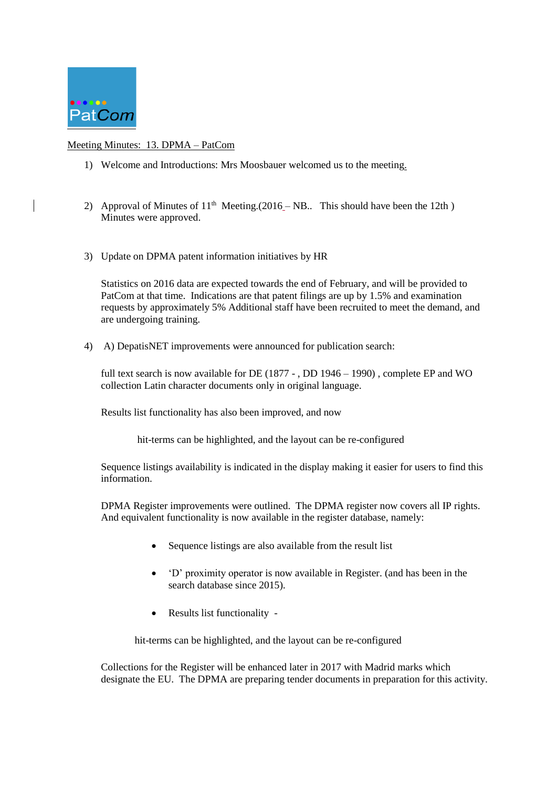

## Meeting Minutes: 13. DPMA – PatCom

- 1) Welcome and Introductions: Mrs Moosbauer welcomed us to the meeting.
- 2) Approval of Minutes of  $11<sup>th</sup>$  Meeting.(2016 NB.. This should have been the 12th) Minutes were approved.
- 3) Update on DPMA patent information initiatives by HR

Statistics on 2016 data are expected towards the end of February, and will be provided to PatCom at that time. Indications are that patent filings are up by 1.5% and examination requests by approximately 5% Additional staff have been recruited to meet the demand, and are undergoing training.

4) A) DepatisNET improvements were announced for publication search:

full text search is now available for DE (1877 - , DD 1946 – 1990), complete EP and WO collection Latin character documents only in original language.

Results list functionality has also been improved, and now

hit-terms can be highlighted, and the layout can be re-configured

Sequence listings availability is indicated in the display making it easier for users to find this information.

DPMA Register improvements were outlined. The DPMA register now covers all IP rights. And equivalent functionality is now available in the register database, namely:

- Sequence listings are also available from the result list
- 'D' proximity operator is now available in Register. (and has been in the search database since 2015).
- Results list functionality -

hit-terms can be highlighted, and the layout can be re-configured

Collections for the Register will be enhanced later in 2017 with Madrid marks which designate the EU. The DPMA are preparing tender documents in preparation for this activity.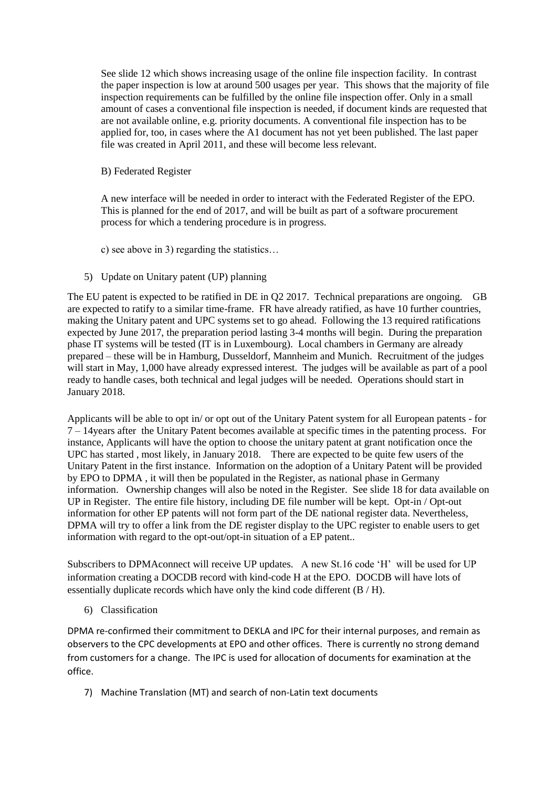See slide 12 which shows increasing usage of the online file inspection facility. In contrast the paper inspection is low at around 500 usages per year. This shows that the majority of file inspection requirements can be fulfilled by the online file inspection offer. Only in a small amount of cases a conventional file inspection is needed, if document kinds are requested that are not available online, e.g. priority documents. A conventional file inspection has to be applied for, too, in cases where the A1 document has not yet been published. The last paper file was created in April 2011, and these will become less relevant.

B) Federated Register

A new interface will be needed in order to interact with the Federated Register of the EPO. This is planned for the end of 2017, and will be built as part of a software procurement process for which a tendering procedure is in progress.

c) see above in 3) regarding the statistics…

5) Update on Unitary patent (UP) planning

The EU patent is expected to be ratified in DE in Q2 2017. Technical preparations are ongoing. GB are expected to ratify to a similar time-frame. FR have already ratified, as have 10 further countries, making the Unitary patent and UPC systems set to go ahead. Following the 13 required ratifications expected by June 2017, the preparation period lasting 3-4 months will begin. During the preparation phase IT systems will be tested (IT is in Luxembourg). Local chambers in Germany are already prepared – these will be in Hamburg, Dusseldorf, Mannheim and Munich. Recruitment of the judges will start in May, 1,000 have already expressed interest. The judges will be available as part of a pool ready to handle cases, both technical and legal judges will be needed. Operations should start in January 2018.

Applicants will be able to opt in/ or opt out of the Unitary Patent system for all European patents - for 7 – 14years after the Unitary Patent becomes available at specific times in the patenting process. For instance, Applicants will have the option to choose the unitary patent at grant notification once the UPC has started , most likely, in January 2018. There are expected to be quite few users of the Unitary Patent in the first instance. Information on the adoption of a Unitary Patent will be provided by EPO to DPMA , it will then be populated in the Register, as national phase in Germany information. Ownership changes will also be noted in the Register. See slide 18 for data available on UP in Register. The entire file history, including DE file number will be kept. Opt-in / Opt-out information for other EP patents will not form part of the DE national register data. Nevertheless, DPMA will try to offer a link from the DE register display to the UPC register to enable users to get information with regard to the opt-out/opt-in situation of a EP patent..

Subscribers to DPMAconnect will receive UP updates. A new St.16 code 'H' will be used for UP information creating a DOCDB record with kind-code H at the EPO. DOCDB will have lots of essentially duplicate records which have only the kind code different (B / H).

6) Classification

DPMA re-confirmed their commitment to DEKLA and IPC for their internal purposes, and remain as observers to the CPC developments at EPO and other offices. There is currently no strong demand from customers for a change. The IPC is used for allocation of documents for examination at the office.

7) Machine Translation (MT) and search of non-Latin text documents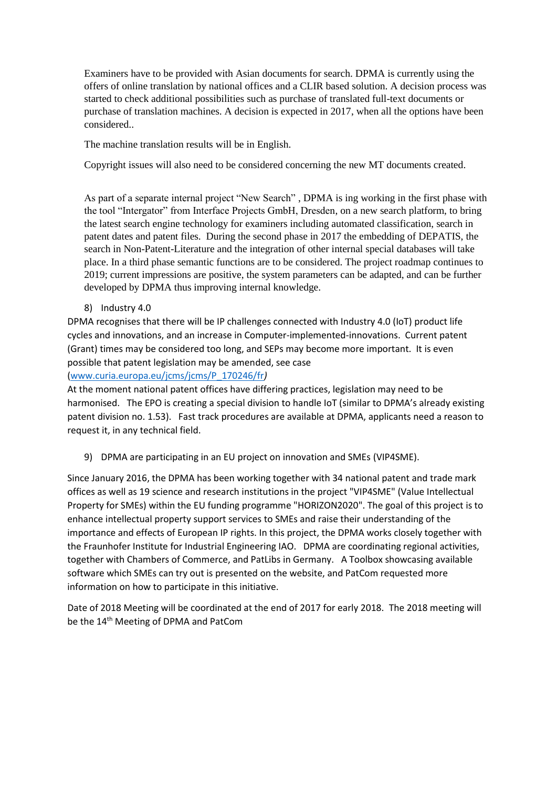Examiners have to be provided with Asian documents for search. DPMA is currently using the offers of online translation by national offices and a CLIR based solution. A decision process was started to check additional possibilities such as purchase of translated full-text documents or purchase of translation machines. A decision is expected in 2017, when all the options have been considered..

The machine translation results will be in English.

Copyright issues will also need to be considered concerning the new MT documents created.

As part of a separate internal project "New Search" , DPMA is ing working in the first phase with the tool "Intergator" from Interface Projects GmbH, Dresden, on a new search platform, to bring the latest search engine technology for examiners including automated classification, search in patent dates and patent files. During the second phase in 2017 the embedding of DEPATIS, the search in Non-Patent-Literature and the integration of other internal special databases will take place. In a third phase semantic functions are to be considered. The project roadmap continues to 2019; current impressions are positive, the system parameters can be adapted, and can be further developed by DPMA thus improving internal knowledge.

8) Industry 4.0

DPMA recognises that there will be IP challenges connected with Industry 4.0 (IoT) product life cycles and innovations, and an increase in Computer-implemented-innovations. Current patent (Grant) times may be considered too long, and SEPs may become more important. It is even possible that patent legislation may be amended, see case

[\(www.curia.europa.eu/jcms/jcms/P\\_170246/fr](http://www.curia.europa.eu/jcms/jcms/P_170246/fr)*)* 

At the moment national patent offices have differing practices, legislation may need to be harmonised. The EPO is creating a special division to handle IoT (similar to DPMA's already existing patent division no. 1.53). Fast track procedures are available at DPMA, applicants need a reason to request it, in any technical field.

9) DPMA are participating in an EU project on innovation and SMEs (VIP4SME).

Since January 2016, the DPMA has been working together with 34 national patent and trade mark offices as well as 19 science and research institutions in the project "VIP4SME" (Value Intellectual Property for SMEs) within the EU funding programme "HORIZON2020". The goal of this project is to enhance intellectual property support services to SMEs and raise their understanding of the importance and effects of European IP rights. In this project, the DPMA works closely together with the Fraunhofer Institute for Industrial Engineering IAO. DPMA are coordinating regional activities, together with Chambers of Commerce, and PatLibs in Germany. A Toolbox showcasing available software which SMEs can try out is presented on the website, and PatCom requested more information on how to participate in this initiative.

Date of 2018 Meeting will be coordinated at the end of 2017 for early 2018. The 2018 meeting will be the 14<sup>th</sup> Meeting of DPMA and PatCom